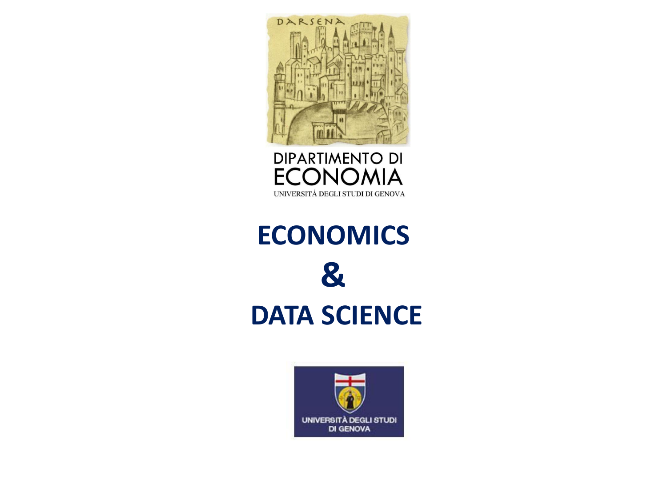



# **ECONOMICS & DATA SCIENCE**

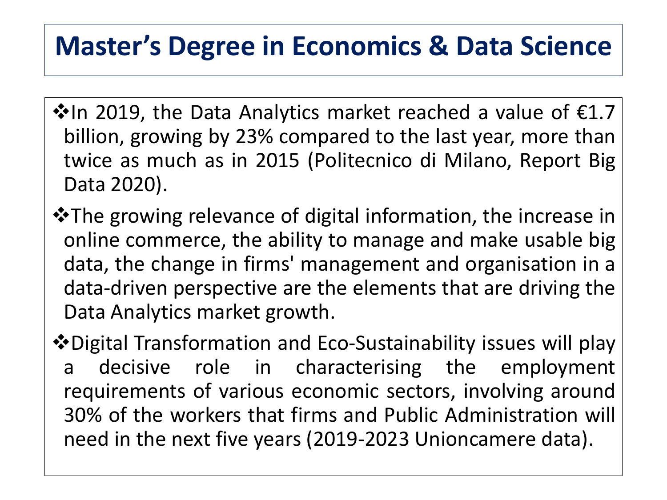$\overline{a}$ 

- $\cdot$  In 2019, the Data Analytics market reached a value of  $\epsilon$ 1.7 billion, growing by 23% compared to the last year, more than twice as much as in 2015 (Politecnico di Milano, Report Big Data 2020).
- **\*** The growing relevance of digital information, the increase in online commerce, the ability to manage and make usable big data, the change in firms' management and organisation in a data-driven perspective are the elements that are driving the Data Analytics market growth.

Digital Transformation and Eco-Sustainability issues will play a decisive role in characterising the employment requirements of various economic sectors, involving around 30% of the workers that firms and Public Administration will need in the next five years (2019-2023 Unioncamere data).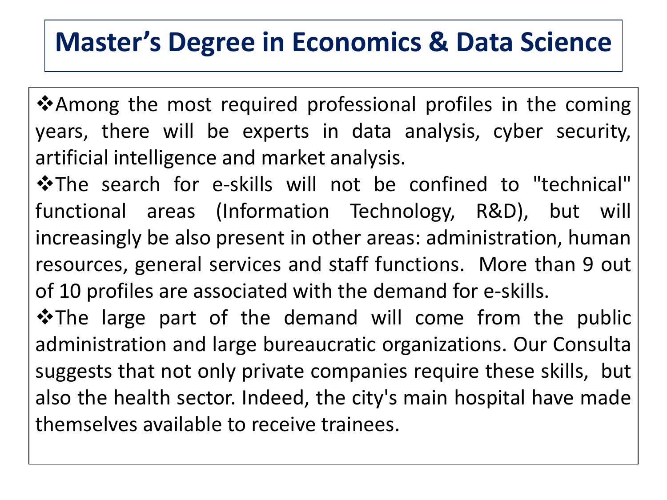❖ Among the most required professional profiles in the coming years, there will be experts in data analysis, cyber security, artificial intelligence and market analysis. 

**\*The search for e-skills will not be confined to "technical"** functional areas (Information Technology, R&D), but will increasingly be also present in other areas: administration, human resources, general services and staff functions. More than 9 out of 10 profiles are associated with the demand for e-skills.

\*The large part of the demand will come from the public administration and large bureaucratic organizations. Our Consulta suggests that not only private companies require these skills, but also the health sector. Indeed, the city's main hospital have made themselves available to receive trainees.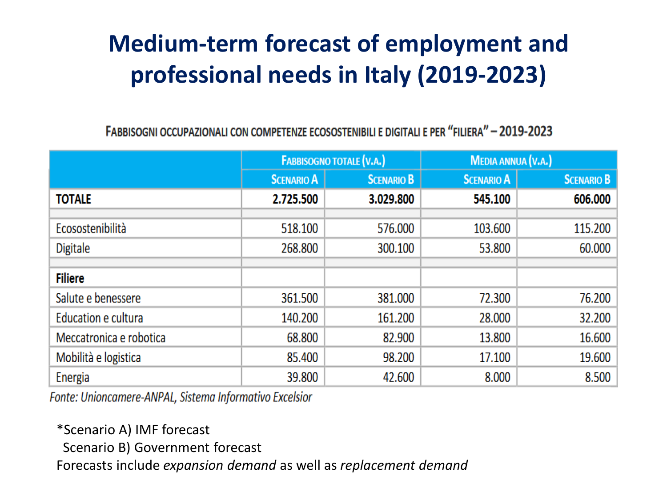#### **Medium-term forecast of employment and professional needs in Italy (2019-2023)**

FABBISOGNI OCCUPAZIONALI CON COMPETENZE ECOSOSTENIBILI E DIGITALI E PER "FILIERA" - 2019-2023

|                         | <b>FABBISOGNO TOTALE (V.A.)</b> |                   | <b>MEDIA ANNUA (V.A.)</b> |                   |
|-------------------------|---------------------------------|-------------------|---------------------------|-------------------|
|                         | <b>SCENARIO A</b>               | <b>SCENARIO B</b> | <b>SCENARIO A</b>         | <b>SCENARIO B</b> |
| <b>TOTALE</b>           | 2.725.500                       | 3.029.800         | 545.100                   | 606.000           |
|                         |                                 |                   |                           |                   |
| Ecosostenibilità        | 518.100                         | 576.000           | 103.600                   | 115.200           |
| Digitale                | 268.800                         | 300.100           | 53.800                    | 60.000            |
|                         |                                 |                   |                           |                   |
| <b>Filiere</b>          |                                 |                   |                           |                   |
| Salute e benessere      | 361.500                         | 381.000           | 72.300                    | 76.200            |
| Education e cultura     | 140.200                         | 161.200           | 28.000                    | 32.200            |
| Meccatronica e robotica | 68.800                          | 82.900            | 13.800                    | 16.600            |
| Mobilità e logistica    | 85.400                          | 98.200            | 17.100                    | 19.600            |
| Energia                 | 39.800                          | 42.600            | 8.000                     | 8.500             |

Fonte: Unioncamere-ANPAL, Sistema Informativo Excelsior

\*Scenario A) IMF forecast

Scenario B) Government forecast

Forecasts include *expansion demand* as well as *replacement demand*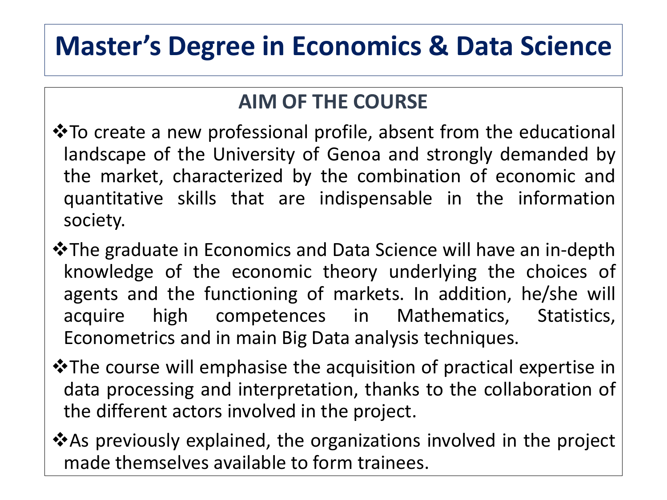#### **AIM OF THE COURSE**

- **\*** To create a new professional profile, absent from the educational landscape of the University of Genoa and strongly demanded by the market, characterized by the combination of economic and quantitative skills that are indispensable in the information society.
- The graduate in Economics and Data Science will have an in-depth knowledge of the economic theory underlying the choices of agents and the functioning of markets. In addition, he/she will acquire high competences in Mathematics, Statistics, Econometrics and in main Big Data analysis techniques.
- **\*** The course will emphasise the acquisition of practical expertise in data processing and interpretation, thanks to the collaboration of the different actors involved in the project.
- **\*** As previously explained, the organizations involved in the project made themselves available to form trainees.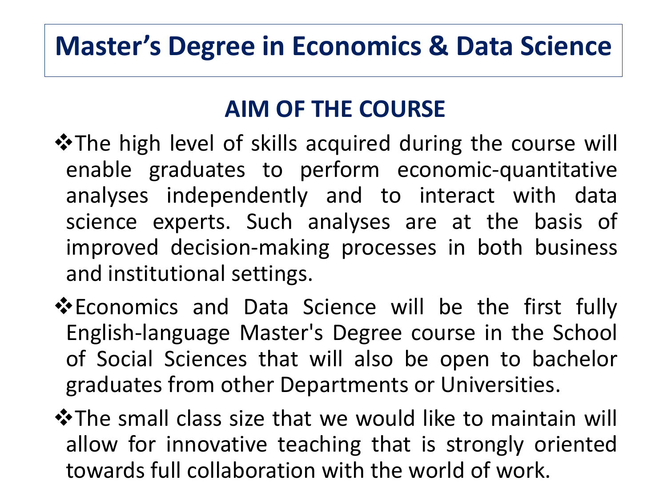#### **AIM OF THE COURSE**

- **\*The high level of skills acquired during the course will** enable graduates to perform economic-quantitative analyses independently and to interact with data science experts. Such analyses are at the basis of improved decision-making processes in both business and institutional settings.
- **Example 5 Ferama Science will be the first fully** English-language Master's Degree course in the School of Social Sciences that will also be open to bachelor graduates from other Departments or Universities.
- **\*The small class size that we would like to maintain will** allow for innovative teaching that is strongly oriented towards full collaboration with the world of work.